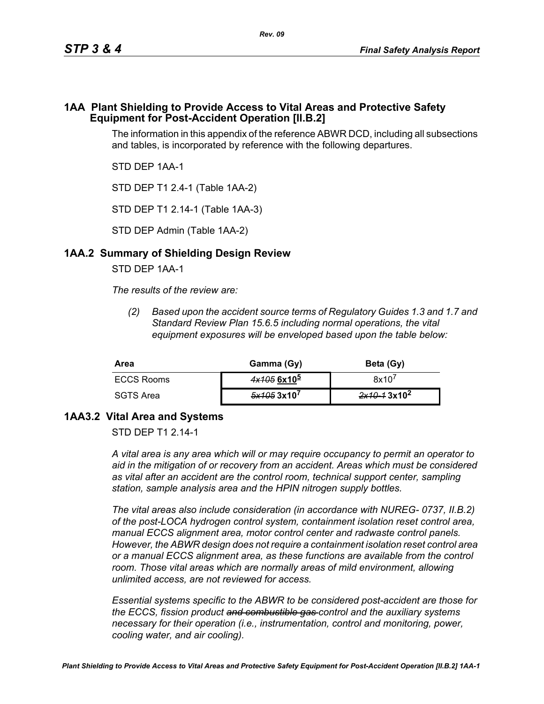#### **1AA Plant Shielding to Provide Access to Vital Areas and Protective Safety Equipment for Post-Accident Operation [II.B.2]**

The information in this appendix of the reference ABWR DCD, including all subsections and tables, is incorporated by reference with the following departures.

STD DEP 1AA-1

STD DEP T1 2.4-1 (Table 1AA-2)

STD DEP T1 2.14-1 (Table 1AA-3)

STD DEP Admin (Table 1AA-2)

## **1AA.2 Summary of Shielding Design Review**

STD DEP 1AA-1

*The results of the review are:*

*(2) Based upon the accident source terms of Regulatory Guides 1.3 and 1.7 and Standard Review Plan 15.6.5 including normal operations, the vital equipment exposures will be enveloped based upon the table below:*

| Area       | Gamma (Gy)    | Beta (Gy)               |
|------------|---------------|-------------------------|
| ECCS Rooms | $4x1056x10^5$ | 8x10'                   |
| SGTS Area  | 5x1053x10'    | 2x10-13x10 <sup>2</sup> |

## **1AA3.2 Vital Area and Systems**

STD DFP T1 2 14-1

*A vital area is any area which will or may require occupancy to permit an operator to aid in the mitigation of or recovery from an accident. Areas which must be considered as vital after an accident are the control room, technical support center, sampling station, sample analysis area and the HPIN nitrogen supply bottles.* 

*The vital areas also include consideration (in accordance with NUREG- 0737, II.B.2) of the post-LOCA hydrogen control system, containment isolation reset control area, manual ECCS alignment area, motor control center and radwaste control panels. However, the ABWR design does not require a containment isolation reset control area or a manual ECCS alignment area, as these functions are available from the control*  room. Those vital areas which are normally areas of mild environment, allowing *unlimited access, are not reviewed for access.* 

*Essential systems specific to the ABWR to be considered post-accident are those for the ECCS, fission product and combustible gas control and the auxiliary systems necessary for their operation (i.e., instrumentation, control and monitoring, power, cooling water, and air cooling).*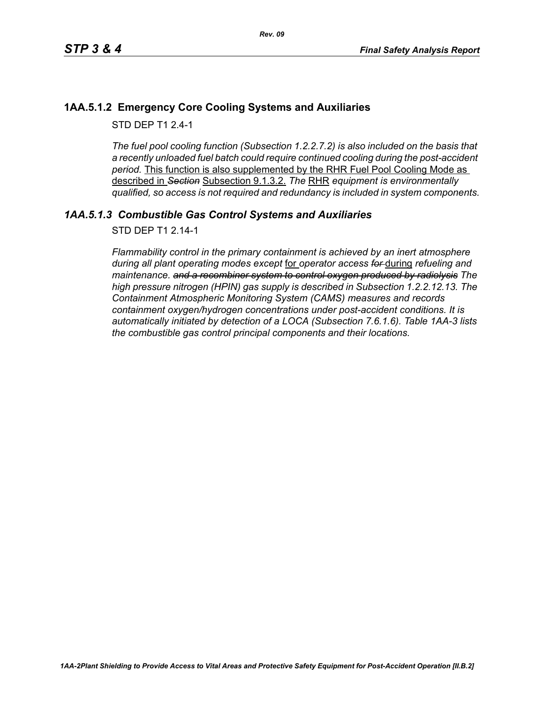## **1AA.5.1.2 Emergency Core Cooling Systems and Auxiliaries**

STD DFP T1 2 4-1

*The fuel pool cooling function (Subsection 1.2.2.7.2) is also included on the basis that a recently unloaded fuel batch could require continued cooling during the post-accident period.* This function is also supplemented by the RHR Fuel Pool Cooling Mode as described in *Section* Subsection 9.1.3.2. *The* RHR *equipment is environmentally qualified, so access is not required and redundancy is included in system components.*

# *1AA.5.1.3 Combustible Gas Control Systems and Auxiliaries*

STD DEP T1 2.14-1

*Flammability control in the primary containment is achieved by an inert atmosphere during all plant operating modes except* for *operator access for* during *refueling and maintenance. and a recombiner system to control oxygen produced by radiolysis The high pressure nitrogen (HPIN) gas supply is described in Subsection 1.2.2.12.13. The Containment Atmospheric Monitoring System (CAMS) measures and records containment oxygen/hydrogen concentrations under post-accident conditions. It is automatically initiated by detection of a LOCA (Subsection 7.6.1.6). Table 1AA-3 lists the combustible gas control principal components and their locations.*